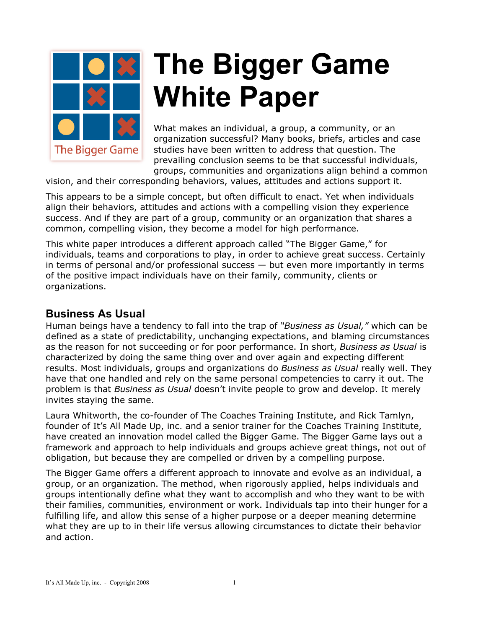

# *<b>X* The Bigger Game **White Paper**

What makes an individual, a group, a community, or an organization successful? Many books, briefs, articles and case studies have been written to address that question. The prevailing conclusion seems to be that successful individuals, groups, communities and organizations align behind a common

vision, and their corresponding behaviors, values, attitudes and actions support it.

This appears to be a simple concept, but often difficult to enact. Yet when individuals align their behaviors, attitudes and actions with a compelling vision they experience success. And if they are part of a group, community or an organization that shares a common, compelling vision, they become a model for high performance.

This white paper introduces a different approach called "The Bigger Game," for individuals, teams and corporations to play, in order to achieve great success. Certainly in terms of personal and/or professional success — but even more importantly in terms of the positive impact individuals have on their family, community, clients or organizations.

## **Business As Usual**

Human beings have a tendency to fall into the trap of *"Business as Usual,"* which can be defined as a state of predictability, unchanging expectations, and blaming circumstances as the reason for not succeeding or for poor performance. In short, *Business as Usual* is characterized by doing the same thing over and over again and expecting different results. Most individuals, groups and organizations do *Business as Usual* really well. They have that one handled and rely on the same personal competencies to carry it out. The problem is that *Business as Usual* doesn't invite people to grow and develop. It merely invites staying the same.

Laura Whitworth, the co-founder of The Coaches Training Institute, and Rick Tamlyn, founder of It's All Made Up, inc. and a senior trainer for the Coaches Training Institute, have created an innovation model called the Bigger Game. The Bigger Game lays out a framework and approach to help individuals and groups achieve great things, not out of obligation, but because they are compelled or driven by a compelling purpose.

The Bigger Game offers a different approach to innovate and evolve as an individual, a group, or an organization. The method, when rigorously applied, helps individuals and groups intentionally define what they want to accomplish and who they want to be with their families, communities, environment or work. Individuals tap into their hunger for a fulfilling life, and allow this sense of a higher purpose or a deeper meaning determine what they are up to in their life versus allowing circumstances to dictate their behavior and action.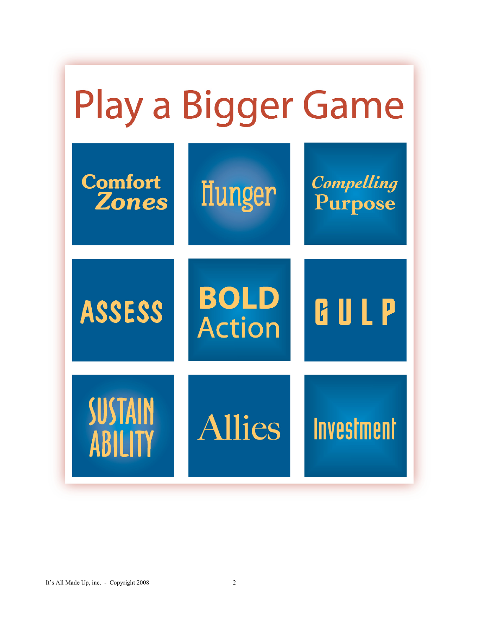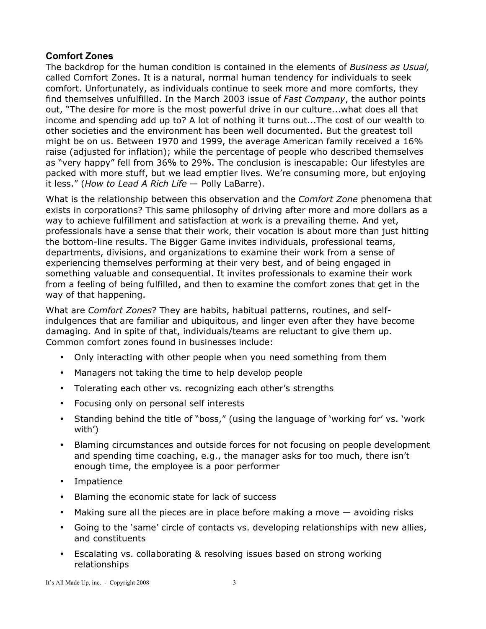## **Comfort Zones**

The backdrop for the human condition is contained in the elements of *Business as Usual,* called Comfort Zones. It is a natural, normal human tendency for individuals to seek comfort. Unfortunately, as individuals continue to seek more and more comforts, they find themselves unfulfilled. In the March 2003 issue of *Fast Company*, the author points out, "The desire for more is the most powerful drive in our culture...what does all that income and spending add up to? A lot of nothing it turns out...The cost of our wealth to other societies and the environment has been well documented. But the greatest toll might be on us. Between 1970 and 1999, the average American family received a 16% raise (adjusted for inflation); while the percentage of people who described themselves as "very happy" fell from 36% to 29%. The conclusion is inescapable: Our lifestyles are packed with more stuff, but we lead emptier lives. We're consuming more, but enjoying it less." (*How to Lead A Rich Life* — Polly LaBarre).

What is the relationship between this observation and the *Comfort Zone* phenomena that exists in corporations? This same philosophy of driving after more and more dollars as a way to achieve fulfillment and satisfaction at work is a prevailing theme. And yet, professionals have a sense that their work, their vocation is about more than just hitting the bottom-line results. The Bigger Game invites individuals, professional teams, departments, divisions, and organizations to examine their work from a sense of experiencing themselves performing at their very best, and of being engaged in something valuable and consequential. It invites professionals to examine their work from a feeling of being fulfilled, and then to examine the comfort zones that get in the way of that happening.

What are *Comfort Zones*? They are habits, habitual patterns, routines, and selfindulgences that are familiar and ubiquitous, and linger even after they have become damaging. And in spite of that, individuals/teams are reluctant to give them up. Common comfort zones found in businesses include:

- Only interacting with other people when you need something from them
- Managers not taking the time to help develop people
- Tolerating each other vs. recognizing each other's strengths
- Focusing only on personal self interests
- Standing behind the title of "boss," (using the language of 'working for' vs. 'work with')
- Blaming circumstances and outside forces for not focusing on people development and spending time coaching, e.g., the manager asks for too much, there isn't enough time, the employee is a poor performer
- Impatience
- Blaming the economic state for lack of success
- Making sure all the pieces are in place before making a move avoiding risks
- Going to the 'same' circle of contacts vs. developing relationships with new allies, and constituents
- Escalating vs. collaborating & resolving issues based on strong working relationships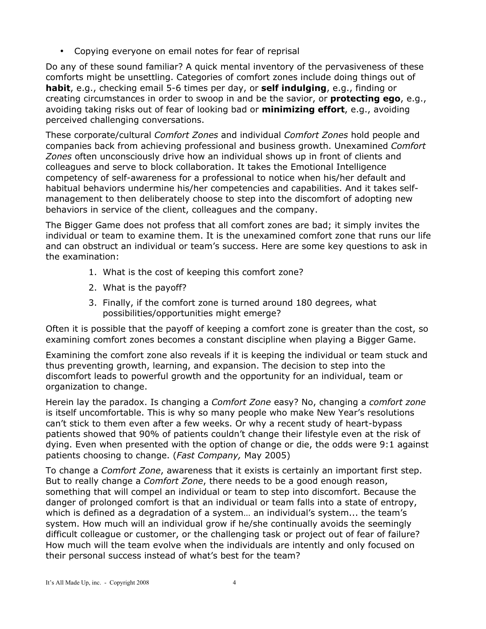• Copying everyone on email notes for fear of reprisal

Do any of these sound familiar? A quick mental inventory of the pervasiveness of these comforts might be unsettling. Categories of comfort zones include doing things out of **habit**, e.g., checking email 5-6 times per day, or **self indulging**, e.g., finding or creating circumstances in order to swoop in and be the savior, or **protecting ego**, e.g., avoiding taking risks out of fear of looking bad or **minimizing effort**, e.g., avoiding perceived challenging conversations.

These corporate/cultural *Comfort Zones* and individual *Comfort Zones* hold people and companies back from achieving professional and business growth. Unexamined *Comfort Zones* often unconsciously drive how an individual shows up in front of clients and colleagues and serve to block collaboration. It takes the Emotional Intelligence competency of self-awareness for a professional to notice when his/her default and habitual behaviors undermine his/her competencies and capabilities. And it takes selfmanagement to then deliberately choose to step into the discomfort of adopting new behaviors in service of the client, colleagues and the company.

The Bigger Game does not profess that all comfort zones are bad; it simply invites the individual or team to examine them. It is the unexamined comfort zone that runs our life and can obstruct an individual or team's success. Here are some key questions to ask in the examination:

- 1. What is the cost of keeping this comfort zone?
- 2. What is the payoff?
- 3. Finally, if the comfort zone is turned around 180 degrees, what possibilities/opportunities might emerge?

Often it is possible that the payoff of keeping a comfort zone is greater than the cost, so examining comfort zones becomes a constant discipline when playing a Bigger Game.

Examining the comfort zone also reveals if it is keeping the individual or team stuck and thus preventing growth, learning, and expansion. The decision to step into the discomfort leads to powerful growth and the opportunity for an individual, team or organization to change.

Herein lay the paradox. Is changing a *Comfort Zone* easy? No, changing a *comfort zone* is itself uncomfortable. This is why so many people who make New Year's resolutions can't stick to them even after a few weeks. Or why a recent study of heart-bypass patients showed that 90% of patients couldn't change their lifestyle even at the risk of dying. Even when presented with the option of change or die, the odds were 9:1 against patients choosing to change. (*Fast Company,* May 2005)

To change a *Comfort Zone*, awareness that it exists is certainly an important first step. But to really change a *Comfort Zone*, there needs to be a good enough reason, something that will compel an individual or team to step into discomfort. Because the danger of prolonged comfort is that an individual or team falls into a state of entropy, which is defined as a degradation of a system… an individual's system... the team's system. How much will an individual grow if he/she continually avoids the seemingly difficult colleague or customer, or the challenging task or project out of fear of failure? How much will the team evolve when the individuals are intently and only focused on their personal success instead of what's best for the team?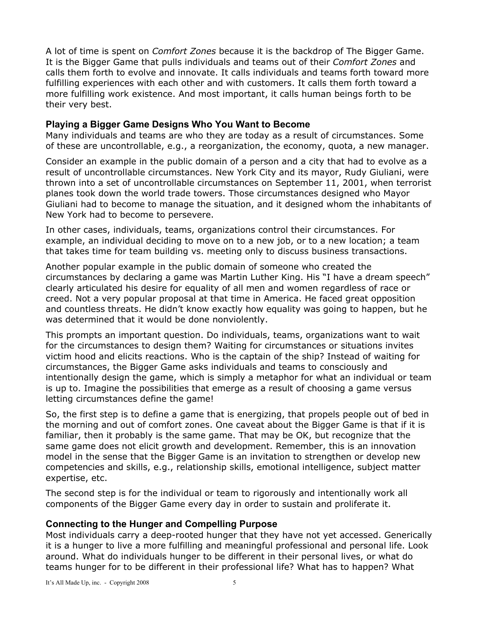A lot of time is spent on *Comfort Zones* because it is the backdrop of The Bigger Game. It is the Bigger Game that pulls individuals and teams out of their *Comfort Zones* and calls them forth to evolve and innovate. It calls individuals and teams forth toward more fulfilling experiences with each other and with customers. It calls them forth toward a more fulfilling work existence. And most important, it calls human beings forth to be their very best.

#### **Playing a Bigger Game Designs Who You Want to Become**

Many individuals and teams are who they are today as a result of circumstances. Some of these are uncontrollable, e.g., a reorganization, the economy, quota, a new manager.

Consider an example in the public domain of a person and a city that had to evolve as a result of uncontrollable circumstances. New York City and its mayor, Rudy Giuliani, were thrown into a set of uncontrollable circumstances on September 11, 2001, when terrorist planes took down the world trade towers. Those circumstances designed who Mayor Giuliani had to become to manage the situation, and it designed whom the inhabitants of New York had to become to persevere.

In other cases, individuals, teams, organizations control their circumstances. For example, an individual deciding to move on to a new job, or to a new location; a team that takes time for team building vs. meeting only to discuss business transactions.

Another popular example in the public domain of someone who created the circumstances by declaring a game was Martin Luther King. His "I have a dream speech" clearly articulated his desire for equality of all men and women regardless of race or creed. Not a very popular proposal at that time in America. He faced great opposition and countless threats. He didn't know exactly how equality was going to happen, but he was determined that it would be done nonviolently.

This prompts an important question. Do individuals, teams, organizations want to wait for the circumstances to design them? Waiting for circumstances or situations invites victim hood and elicits reactions. Who is the captain of the ship? Instead of waiting for circumstances, the Bigger Game asks individuals and teams to consciously and intentionally design the game, which is simply a metaphor for what an individual or team is up to. Imagine the possibilities that emerge as a result of choosing a game versus letting circumstances define the game!

So, the first step is to define a game that is energizing, that propels people out of bed in the morning and out of comfort zones. One caveat about the Bigger Game is that if it is familiar, then it probably is the same game. That may be OK, but recognize that the same game does not elicit growth and development. Remember, this is an innovation model in the sense that the Bigger Game is an invitation to strengthen or develop new competencies and skills, e.g., relationship skills, emotional intelligence, subject matter expertise, etc.

The second step is for the individual or team to rigorously and intentionally work all components of the Bigger Game every day in order to sustain and proliferate it.

#### **Connecting to the Hunger and Compelling Purpose**

Most individuals carry a deep-rooted hunger that they have not yet accessed. Generically it is a hunger to live a more fulfilling and meaningful professional and personal life. Look around. What do individuals hunger to be different in their personal lives, or what do teams hunger for to be different in their professional life? What has to happen? What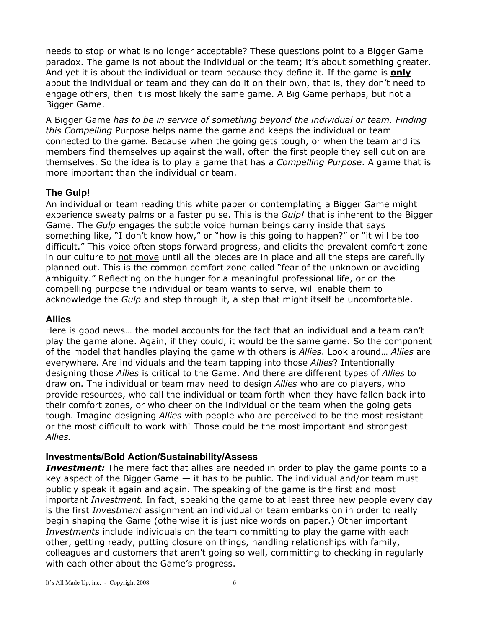needs to stop or what is no longer acceptable? These questions point to a Bigger Game paradox. The game is not about the individual or the team; it's about something greater. And yet it is about the individual or team because they define it. If the game is **only** about the individual or team and they can do it on their own, that is, they don't need to engage others, then it is most likely the same game. A Big Game perhaps, but not a Bigger Game.

A Bigger Game *has to be in service of something beyond the individual or team. Finding this Compelling* Purpose helps name the game and keeps the individual or team connected to the game. Because when the going gets tough, or when the team and its members find themselves up against the wall, often the first people they sell out on are themselves. So the idea is to play a game that has a *Compelling Purpose*. A game that is more important than the individual or team.

## **The Gulp!**

An individual or team reading this white paper or contemplating a Bigger Game might experience sweaty palms or a faster pulse. This is the *Gulp!* that is inherent to the Bigger Game. The *Gulp* engages the subtle voice human beings carry inside that says something like, "I don't know how," or "how is this going to happen?" or "it will be too difficult." This voice often stops forward progress, and elicits the prevalent comfort zone in our culture to not move until all the pieces are in place and all the steps are carefully planned out. This is the common comfort zone called "fear of the unknown or avoiding ambiguity." Reflecting on the hunger for a meaningful professional life, or on the compelling purpose the individual or team wants to serve, will enable them to acknowledge the *Gulp* and step through it, a step that might itself be uncomfortable.

#### **Allies**

Here is good news… the model accounts for the fact that an individual and a team can't play the game alone. Again, if they could, it would be the same game. So the component of the model that handles playing the game with others is *Allies*. Look around… *Allies* are everywhere. Are individuals and the team tapping into those *Allies*? Intentionally designing those *Allies* is critical to the Game. And there are different types of *Allies* to draw on. The individual or team may need to design *Allies* who are co players, who provide resources, who call the individual or team forth when they have fallen back into their comfort zones, or who cheer on the individual or the team when the going gets tough. Imagine designing *Allies* with people who are perceived to be the most resistant or the most difficult to work with! Those could be the most important and strongest *Allies.*

### **Investments/Bold Action/Sustainability/Assess**

*Investment:* The mere fact that allies are needed in order to play the game points to a key aspect of the Bigger Game  $-$  it has to be public. The individual and/or team must publicly speak it again and again. The speaking of the game is the first and most important *Investment.* In fact, speaking the game to at least three new people every day is the first *Investment* assignment an individual or team embarks on in order to really begin shaping the Game (otherwise it is just nice words on paper.) Other important *Investments* include individuals on the team committing to play the game with each other, getting ready, putting closure on things, handling relationships with family, colleagues and customers that aren't going so well, committing to checking in regularly with each other about the Game's progress.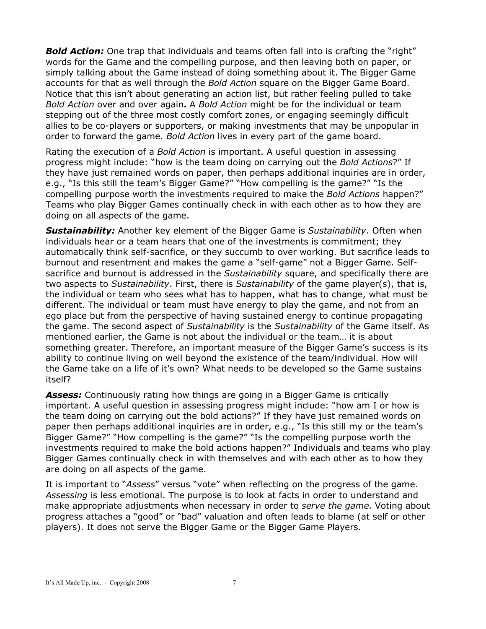**Bold Action:** One trap that individuals and teams often fall into is crafting the "right" words for the Game and the compelling purpose, and then leaving both on paper, or simply talking about the Game instead of doing something about it. The Bigger Game accounts for that as well through the *Bold Action* square on the Bigger Game Board. Notice that this isn't about generating an action list, but rather feeling pulled to take *Bold Action* over and over again**.** A *Bold Action* might be for the individual or team stepping out of the three most costly comfort zones, or engaging seemingly difficult allies to be co-players or supporters, or making investments that may be unpopular in order to forward the game. *Bold Action* lives in every part of the game board.

Rating the execution of a *Bold Action* is important. A useful question in assessing progress might include: "how is the team doing on carrying out the *Bold Actions*?" If they have just remained words on paper, then perhaps additional inquiries are in order, e.g., "Is this still the team's Bigger Game?" "How compelling is the game?" "Is the compelling purpose worth the investments required to make the *Bold Actions* happen?" Teams who play Bigger Games continually check in with each other as to how they are doing on all aspects of the game.

*Sustainability:* Another key element of the Bigger Game is *Sustainability*. Often when individuals hear or a team hears that one of the investments is commitment; they automatically think self-sacrifice, or they succumb to over working. But sacrifice leads to burnout and resentment and makes the game a "self-game" not a Bigger Game. Selfsacrifice and burnout is addressed in the *Sustainability* square, and specifically there are two aspects to *Sustainability*. First, there is *Sustainability* of the game player(s), that is, the individual or team who sees what has to happen, what has to change, what must be different. The individual or team must have energy to play the game, and not from an ego place but from the perspective of having sustained energy to continue propagating the game. The second aspect of *Sustainability* is the *Sustainability* of the Game itself. As mentioned earlier, the Game is not about the individual or the team… it is about something greater. Therefore, an important measure of the Bigger Game's success is its ability to continue living on well beyond the existence of the team/individual. How will the Game take on a life of it's own? What needs to be developed so the Game sustains itself?

*Assess:* Continuously rating how things are going in a Bigger Game is critically important. A useful question in assessing progress might include: "how am I or how is the team doing on carrying out the bold actions?" If they have just remained words on paper then perhaps additional inquiries are in order, e.g., "Is this still my or the team's Bigger Game?" "How compelling is the game?" "Is the compelling purpose worth the investments required to make the bold actions happen?" Individuals and teams who play Bigger Games continually check in with themselves and with each other as to how they are doing on all aspects of the game.

It is important to "*Assess*" versus "vote" when reflecting on the progress of the game. *Assessing* is less emotional. The purpose is to look at facts in order to understand and make appropriate adjustments when necessary in order to *serve the game.* Voting about progress attaches a "good" or "bad" valuation and often leads to blame (at self or other players). It does not serve the Bigger Game or the Bigger Game Players.